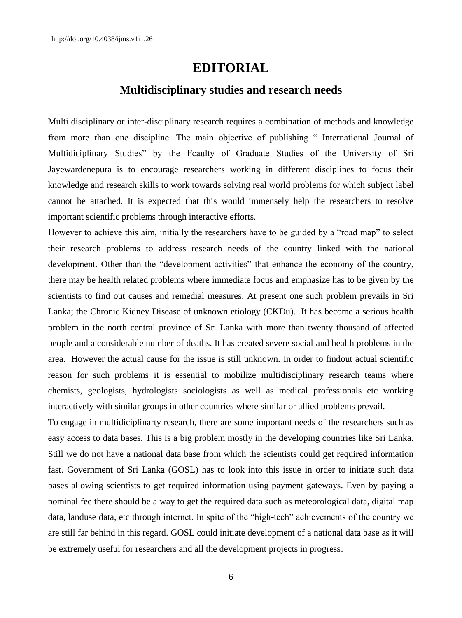## **EDITORIAL**

## **Multidisciplinary studies and research needs**

Multi disciplinary or inter-disciplinary research requires a combination of methods and knowledge from more than one discipline. The main objective of publishing " International Journal of Multidiciplinary Studies" by the Fcaulty of Graduate Studies of the University of Sri Jayewardenepura is to encourage researchers working in different disciplines to focus their knowledge and research skills to work towards solving real world problems for which subject label cannot be attached. It is expected that this would immensely help the researchers to resolve important scientific problems through interactive efforts.

However to achieve this aim, initially the researchers have to be guided by a "road map" to select their research problems to address research needs of the country linked with the national development. Other than the "development activities" that enhance the economy of the country, there may be health related problems where immediate focus and emphasize has to be given by the scientists to find out causes and remedial measures. At present one such problem prevails in Sri Lanka; the Chronic Kidney Disease of unknown etiology (CKDu). It has become a serious health problem in the north central province of Sri Lanka with more than twenty thousand of affected people and a considerable number of deaths. It has created severe social and health problems in the area. However the actual cause for the issue is still unknown. In order to findout actual scientific reason for such problems it is essential to mobilize multidisciplinary research teams where chemists, geologists, hydrologists sociologists as well as medical professionals etc working interactively with similar groups in other countries where similar or allied problems prevail.

To engage in multidiciplinarty research, there are some important needs of the researchers such as easy access to data bases. This is a big problem mostly in the developing countries like Sri Lanka. Still we do not have a national data base from which the scientists could get required information fast. Government of Sri Lanka (GOSL) has to look into this issue in order to initiate such data bases allowing scientists to get required information using payment gateways. Even by paying a nominal fee there should be a way to get the required data such as meteorological data, digital map data, landuse data, etc through internet. In spite of the "high-tech" achievements of the country we are still far behind in this regard. GOSL could initiate development of a national data base as it will be extremely useful for researchers and all the development projects in progress.